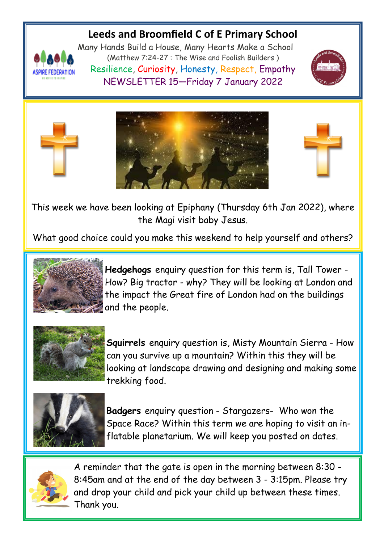# **Leeds and Broomfield C of E Primary School**



Many Hands Build a House, Many Hearts Make a School (Matthew 7:24-27 : The Wise and Foolish Builders ) Resilience, Curiosity, Honesty, Respect, Empathy NEWSLETTER 15—Friday 7 January 2022







This week we have been looking at Epiphany (Thursday 6th Jan 2022), where the Magi visit baby Jesus.

What good choice could you make this weekend to help yourself and others?



**Hedgehogs** enquiry question for this term is, Tall Tower - How? Big tractor - why? They will be looking at London and the impact the Great fire of London had on the buildings and the people.



**Squirrels** enquiry question is, Misty Mountain Sierra - How can you survive up a mountain? Within this they will be looking at landscape drawing and designing and making some trekking food.



**Badgers** enquiry question - Stargazers- Who won the Space Race? Within this term we are hoping to visit an inflatable planetarium. We will keep you posted on dates.



A reminder that the gate is open in the morning between 8:30 - 8:45am and at the end of the day between 3 - 3:15pm. Please try and drop your child and pick your child up between these times. Thank you.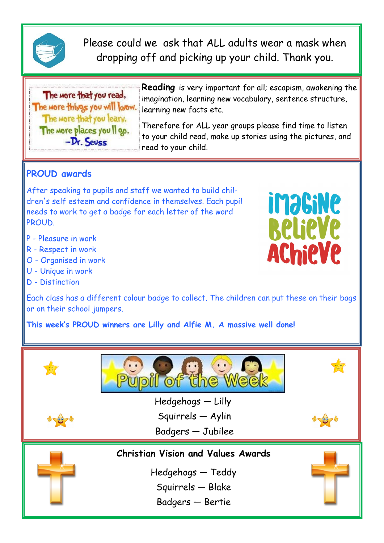

Please could we ask that ALL adults wear a mask when dropping off and picking up your child. Thank you.

The more that you read, The more things you will know. The more that you leary, The more places you II go.  $-Dr.$  Sevss

**Reading** is very important for all; escapism, awakening the imagination, learning new vocabulary, sentence structure, learning new facts etc.

Therefore for ALL year groups please find time to listen to your child read, make up stories using the pictures, and read to your child.

## **PROUD awards**

After speaking to pupils and staff we wanted to build children's self esteem and confidence in themselves. Each pupil needs to work to get a badge for each letter of the word PROUD.

- P Pleasure in work
- R Respect in work
- O Organised in work
- U Unique in work
- D Distinction



**This week's PROUD winners are Lilly and Alfie M. A massive well done!**





Hedgehogs — Lilly Squirrels — Aylin



Badgers — Jubilee



**imagine** 

**RelieVe** 

**AChieVe** 



**Christian Vision and Values Awards**

Hedgehogs — Teddy

Squirrels — Blake

Badgers — Bertie

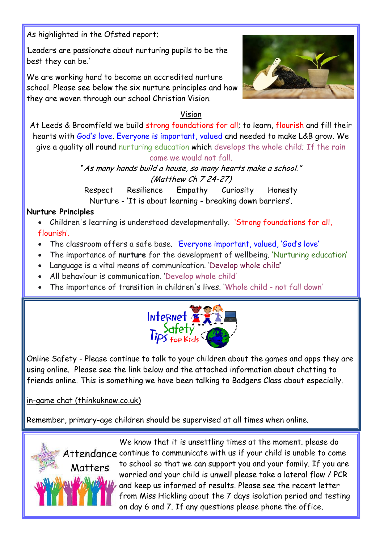As highlighted in the Ofsted report;

'Leaders are passionate about nurturing pupils to be the best they can be.'

We are working hard to become an accredited nurture school. Please see below the six nurture principles and how they are woven through our school Christian Vision.



### Vision

At Leeds & Broomfield we build strong foundations for all; to learn, flourish and fill their hearts with God's love. Everyone is important, valued and needed to make L&B grow. We give a quality all round nurturing education which develops the whole child; If the rain came we would not fall.

> "As many hands build a house, so many hearts make a school." (Matthew Ch 7 24-27)

Respect Resilience Empathy Curiosity Honesty Nurture - 'It is about learning - breaking down barriers'.

#### **Nurture Principles**

- Children's learning is understood developmentally. 'Strong foundations for all, flourish'.
- The classroom offers a safe base. 'Everyone important, valued, 'God's love'
- The importance of **nurture** for the development of wellbeing. 'Nurturing education'
- Language is a vital means of communication. 'Develop whole child'
- All behaviour is communication. 'Develop whole child'
- The importance of transition in children's lives. 'Whole child not fall down'



Online Safety - Please continue to talk to your children about the games and apps they are using online. Please see the link below and the attached information about chatting to friends online. This is something we have been talking to Badgers Class about especially.

[in-game chat \(thinkuknow.co.uk\)](https://www.thinkuknow.co.uk/parents/articles/in-game-chat/)

Remember, primary-age children should be supervised at all times when online.



We know that it is unsettling times at the moment. please do Attendance continue to communicate with us if your child is unable to come to school so that we can support you and your family. If you are worried and your child is unwell please take a lateral flow / PCR and keep us informed of results. Please see the recent letter from Miss Hickling about the 7 days isolation period and testing on day 6 and 7. If any questions please phone the office.